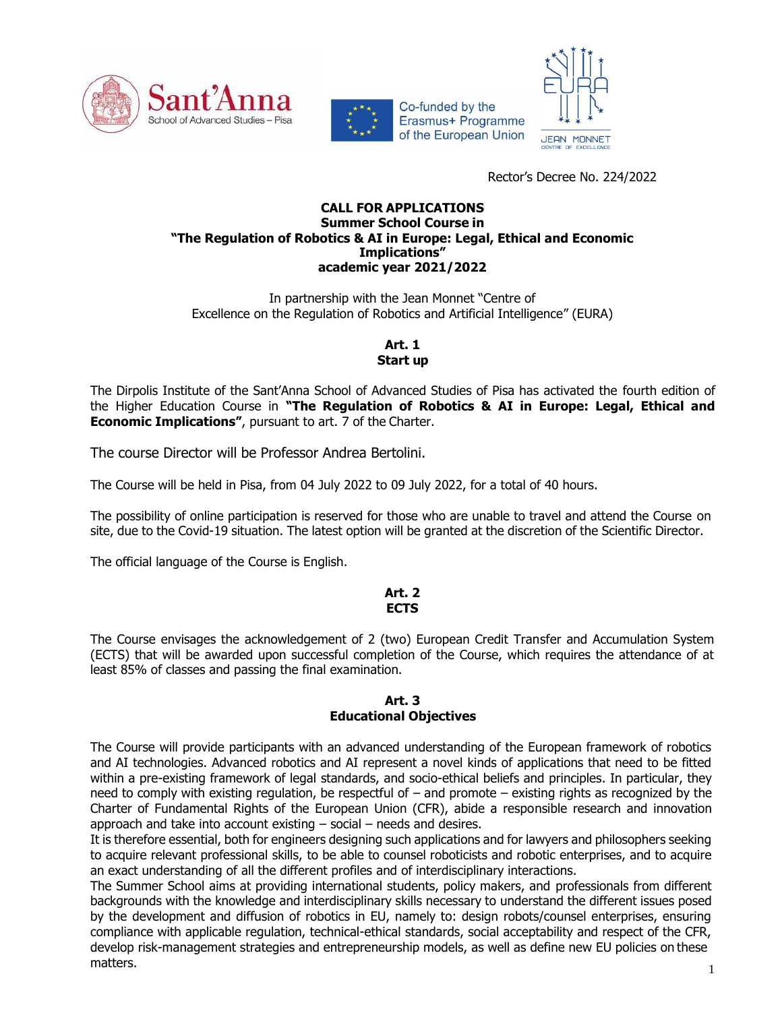





Rector's Decree No. 224/2022

#### **CALL FOR APPLICATIONS Summer School Course in "The Regulation of Robotics & AI in Europe: Legal, Ethical and Economic Implications" academic year 2021/2022**

In partnership with the Jean Monnet "Centre of Excellence on the Regulation of Robotics and Artificial Intelligence" (EURA)

## **Art. 1 Start up**

The Dirpolis Institute of the Sant'Anna School of Advanced Studies of Pisa has activated the fourth edition of the Higher Education Course in **"The Regulation of Robotics & AI in Europe: Legal, Ethical and Economic Implications"**, pursuant to art. 7 of the Charter.

The course Director will be Professor Andrea Bertolini.

The Course will be held in Pisa, from 04 July 2022 to 09 July 2022, for a total of 40 hours.

The possibility of online participation is reserved for those who are unable to travel and attend the Course on site, due to the Covid-19 situation. The latest option will be granted at the discretion of the Scientific Director.

The official language of the Course is English.

#### **Art. 2 ECTS**

The Course envisages the acknowledgement of 2 (two) European Credit Transfer and Accumulation System (ECTS) that will be awarded upon successful completion of the Course, which requires the attendance of at least 85% of classes and passing the final examination.

#### **Art. 3 Educational Objectives**

The Course will provide participants with an advanced understanding of the European framework of robotics and AI technologies. Advanced robotics and AI represent a novel kinds of applications that need to be fitted within a pre-existing framework of legal standards, and socio-ethical beliefs and principles. In particular, they need to comply with existing regulation, be respectful of – and promote – existing rights as recognized by the Charter of Fundamental Rights of the European Union (CFR), abide a responsible research and innovation approach and take into account existing – social – needs and desires.

It is therefore essential, both for engineers designing such applications and for lawyers and philosophers seeking to acquire relevant professional skills, to be able to counsel roboticists and robotic enterprises, and to acquire an exact understanding of all the different profiles and of interdisciplinary interactions.

The Summer School aims at providing international students, policy makers, and professionals from different backgrounds with the knowledge and interdisciplinary skills necessary to understand the different issues posed by the development and diffusion of robotics in EU, namely to: design robots/counsel enterprises, ensuring compliance with applicable regulation, technical-ethical standards, social acceptability and respect of the CFR, develop risk-management strategies and entrepreneurship models, as well as define new EU policies on these  $m$ atters.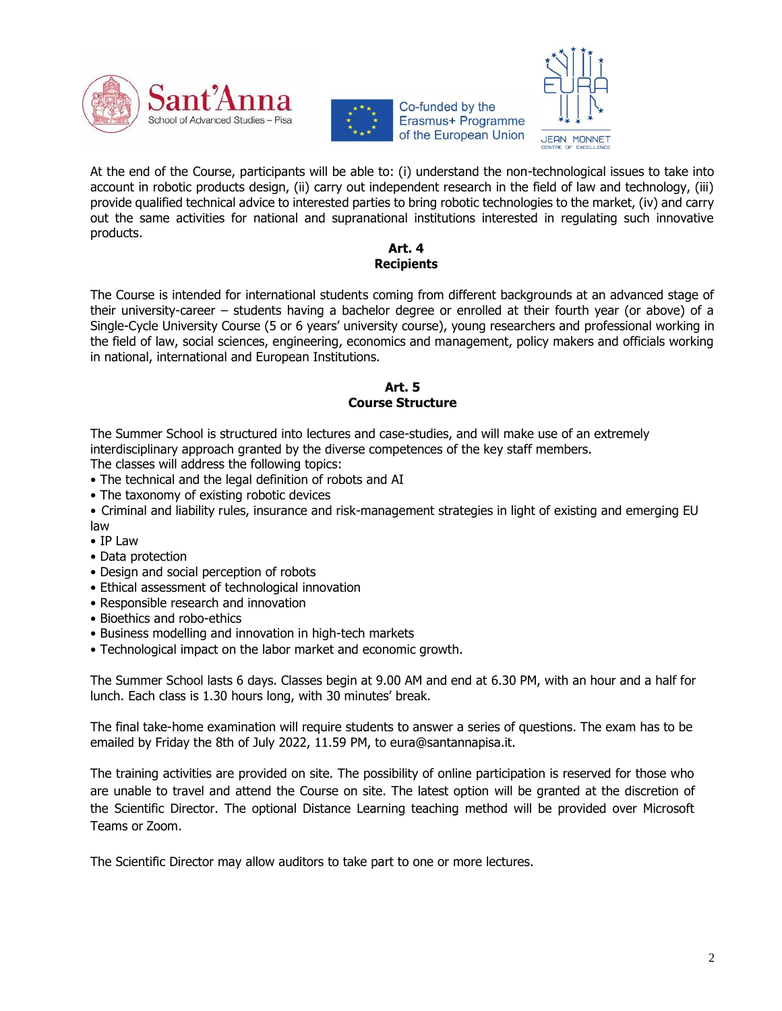





At the end of the Course, participants will be able to: (i) understand the non-technological issues to take into account in robotic products design, (ii) carry out independent research in the field of law and technology, (iii) provide qualified technical advice to interested parties to bring robotic technologies to the market, (iv) and carry out the same activities for national and supranational institutions interested in regulating such innovative products.

#### **Art. 4 Recipients**

The Course is intended for international students coming from different backgrounds at an advanced stage of their university-career – students having a bachelor degree or enrolled at their fourth year (or above) of a Single-Cycle University Course (5 or 6 years' university course), young researchers and professional working in the field of law, social sciences, engineering, economics and management, policy makers and officials working in national, international and European Institutions.

## **Art. 5 Course Structure**

The Summer School is structured into lectures and case-studies, and will make use of an extremely interdisciplinary approach granted by the diverse competences of the key staff members.

The classes will address the following topics:

- The technical and the legal definition of robots and AI
- The taxonomy of existing robotic devices
- Criminal and liability rules, insurance and risk-management strategies in light of existing and emerging EU law
- IP Law
- Data protection
- Design and social perception of robots
- Ethical assessment of technological innovation
- Responsible research and innovation
- Bioethics and robo-ethics
- Business modelling and innovation in high-tech markets
- Technological impact on the labor market and economic growth.

The Summer School lasts 6 days. Classes begin at 9.00 AM and end at 6.30 PM, with an hour and a half for lunch. Each class is 1.30 hours long, with 30 minutes' break.

The final take-home examination will require students to answer a series of questions. The exam has to be emailed by Friday the 8th of July 2022, 11.59 PM, to [eura@santannapisa.it.](mailto:eura@santannapisa.it)

The training activities are provided on site. The possibility of online participation is reserved for those who are unable to travel and attend the Course on site. The latest option will be granted at the discretion of the Scientific Director. The optional Distance Learning teaching method will be provided over Microsoft Teams or Zoom.

The Scientific Director may allow auditors to take part to one or more lectures.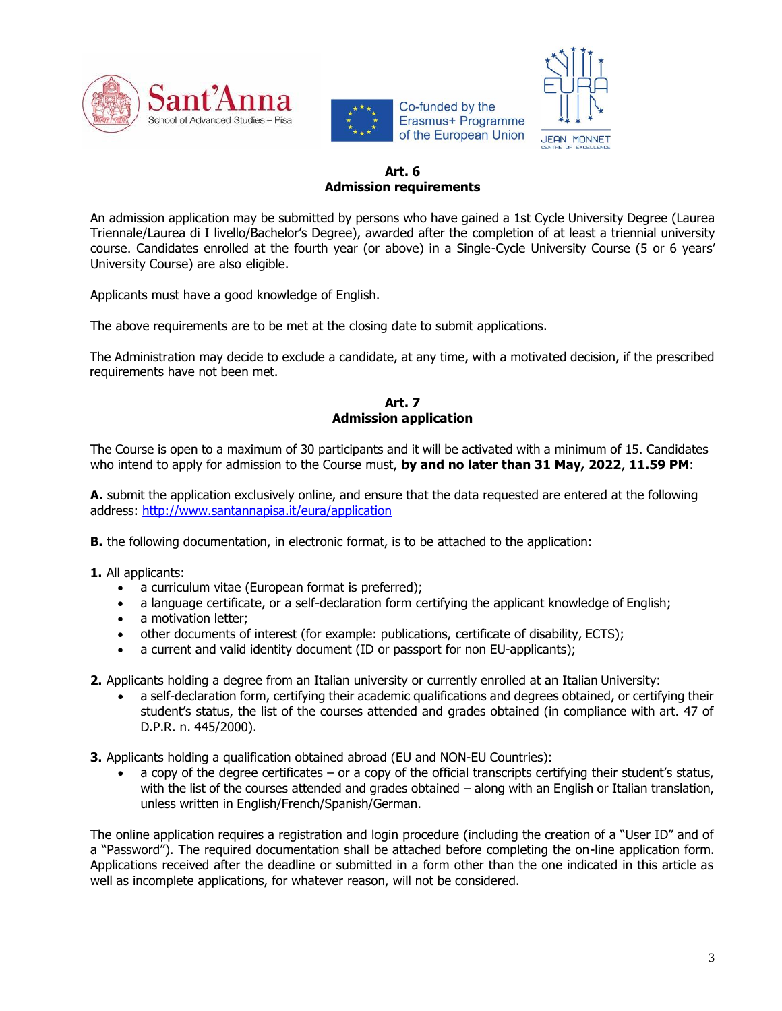





#### **Art. 6 Admission requirements**

An admission application may be submitted by persons who have gained a 1st Cycle University Degree (Laurea Triennale/Laurea di I livello/Bachelor's Degree), awarded after the completion of at least a triennial university course. Candidates enrolled at the fourth year (or above) in a Single-Cycle University Course (5 or 6 years' University Course) are also eligible.

Applicants must have a good knowledge of English.

The above requirements are to be met at the closing date to submit applications.

The Administration may decide to exclude a candidate, at any time, with a motivated decision, if the prescribed requirements have not been met.

### **Art. 7 Admission application**

The Course is open to a maximum of 30 participants and it will be activated with a minimum of 15. Candidates who intend to apply for admission to the Course must, **by and no later than 31 May, 2022**, **11.59 PM**:

**A.** submit the application exclusively online, and ensure that the data requested are entered at the following address: [http://www.santannapisa.it/eura/application](https://www.santannapisa.it/eura/application)

**B.** the following documentation, in electronic format, is to be attached to the application:

- **1.** All applicants:
	- a curriculum vitae (European format is preferred);
	- a language certificate, or a self-declaration form certifying the applicant knowledge of English;
	- a motivation letter;
	- other documents of interest (for example: publications, certificate of disability, ECTS);
	- a current and valid identity document (ID or passport for non EU-applicants);

**2.** Applicants holding a degree from an Italian university or currently enrolled at an Italian University:

- a self-declaration form, certifying their academic qualifications and degrees obtained, or certifying their student's status, the list of the courses attended and grades obtained (in compliance with art. 47 of D.P.R. n. 445/2000).
- **3.** Applicants holding a qualification obtained abroad (EU and NON-EU Countries):
	- a copy of the degree certificates or a copy of the official transcripts certifying their student's status, with the list of the courses attended and grades obtained - along with an English or Italian translation, unless written in English/French/Spanish/German.

The online application requires a registration and login procedure (including the creation of a "User ID" and of a "Password"). The required documentation shall be attached before completing the on-line application form. Applications received after the deadline or submitted in a form other than the one indicated in this article as well as incomplete applications, for whatever reason, will not be considered.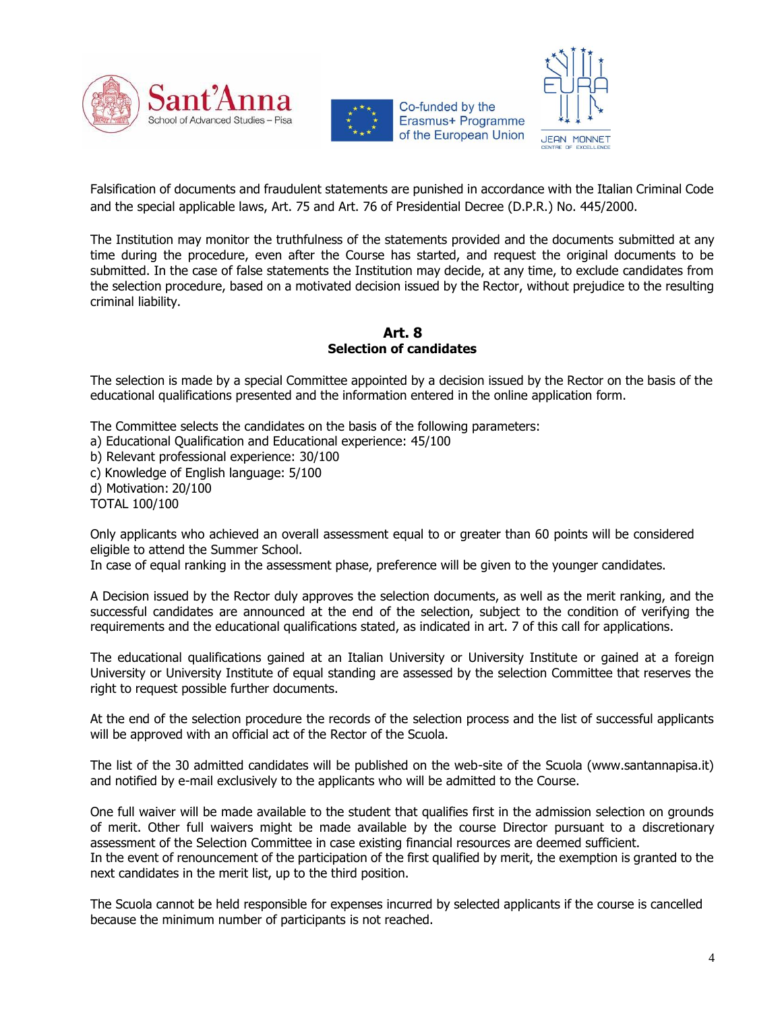





Falsification of documents and fraudulent statements are punished in accordance with the Italian Criminal Code and the special applicable laws, Art. 75 and Art. 76 of Presidential Decree (D.P.R.) No. 445/2000.

The Institution may monitor the truthfulness of the statements provided and the documents submitted at any time during the procedure, even after the Course has started, and request the original documents to be submitted. In the case of false statements the Institution may decide, at any time, to exclude candidates from the selection procedure, based on a motivated decision issued by the Rector, without prejudice to the resulting criminal liability.

**Art. 8 Selection of candidates**

The selection is made by a special Committee appointed by a decision issued by the Rector on the basis of the educational qualifications presented and the information entered in the online application form.

The Committee selects the candidates on the basis of the following parameters:

a) Educational Qualification and Educational experience: 45/100

b) Relevant professional experience: 30/100

c) Knowledge of English language: 5/100

d) Motivation: 20/100

TOTAL 100/100

Only applicants who achieved an overall assessment equal to or greater than 60 points will be considered eligible to attend the Summer School.

In case of equal ranking in the assessment phase, preference will be given to the younger candidates.

A Decision issued by the Rector duly approves the selection documents, as well as the merit ranking, and the successful candidates are announced at the end of the selection, subject to the condition of verifying the requirements and the educational qualifications stated, as indicated in art. 7 of this call for applications.

The educational qualifications gained at an Italian University or University Institute or gained at a foreign University or University Institute of equal standing are assessed by the selection Committee that reserves the right to request possible further documents.

At the end of the selection procedure the records of the selection process and the list of successful applicants will be approved with an official act of the Rector of the Scuola.

The list of the 30 admitted candidates will be published on the web-site of the Scuola (www.santannapisa.it) and notified by e-mail exclusively to the applicants who will be admitted to the Course.

One full waiver will be made available to the student that qualifies first in the admission selection on grounds of merit. Other full waivers might be made available by the course Director pursuant to a discretionary assessment of the Selection Committee in case existing financial resources are deemed sufficient. In the event of renouncement of the participation of the first qualified by merit, the exemption is granted to the next candidates in the merit list, up to the third position.

The Scuola cannot be held responsible for expenses incurred by selected applicants if the course is cancelled because the minimum number of participants is not reached.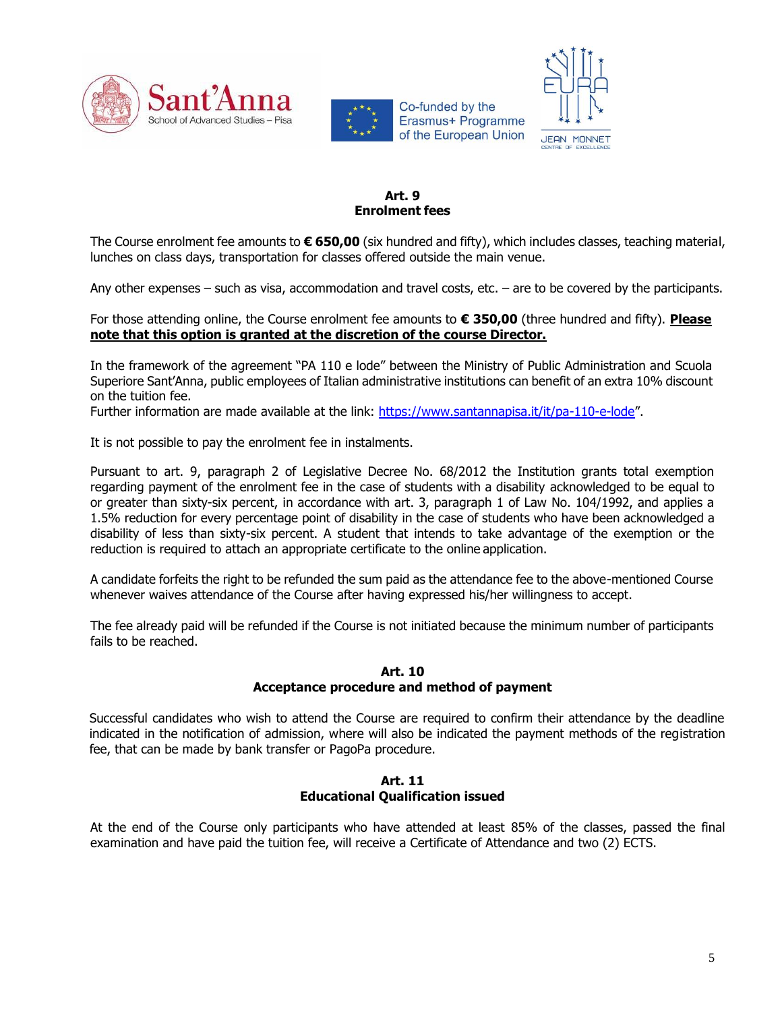







## **Art. 9 Enrolment fees**

The Course enrolment fee amounts to **€ 650,00** (six hundred and fifty), which includes classes, teaching material, lunches on class days, transportation for classes offered outside the main venue.

Any other expenses – such as visa, accommodation and travel costs, etc. – are to be covered by the participants.

## For those attending online, the Course enrolment fee amounts to **€ 350,00** (three hundred and fifty). **Please note that this option is granted at the discretion of the course Director.**

In the framework of the agreement "PA 110 e lode" between the Ministry of Public Administration and Scuola Superiore Sant'Anna, public employees of Italian administrative institutions can benefit of an extra 10% discount on the tuition fee.

Further information are made available at the link:<https://www.santannapisa.it/it/pa-110-e-lode>".

It is not possible to pay the enrolment fee in instalments.

Pursuant to art. 9, paragraph 2 of Legislative Decree No. 68/2012 the Institution grants total exemption regarding payment of the enrolment fee in the case of students with a disability acknowledged to be equal to or greater than sixty-six percent, in accordance with art. 3, paragraph 1 of Law No. 104/1992, and applies a 1.5% reduction for every percentage point of disability in the case of students who have been acknowledged a disability of less than sixty-six percent. A student that intends to take advantage of the exemption or the reduction is required to attach an appropriate certificate to the online application.

A candidate forfeits the right to be refunded the sum paid as the attendance fee to the above-mentioned Course whenever waives attendance of the Course after having expressed his/her willingness to accept.

The fee already paid will be refunded if the Course is not initiated because the minimum number of participants fails to be reached.

#### **Art. 10 Acceptance procedure and method of payment**

Successful candidates who wish to attend the Course are required to confirm their attendance by the deadline indicated in the notification of admission, where will also be indicated the payment methods of the registration fee, that can be made by bank transfer or PagoPa procedure.

## **Art. 11 Educational Qualification issued**

At the end of the Course only participants who have attended at least 85% of the classes, passed the final examination and have paid the tuition fee, will receive a Certificate of Attendance and two (2) ECTS.